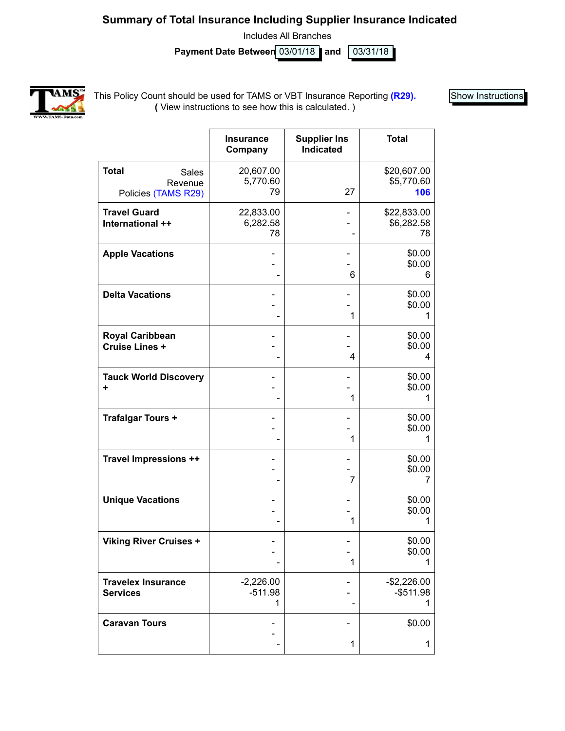### **Summary of Total Insurance Including Supplier Insurance Indicated**

Includes All Branches

**Payment Date Between 03/01/18 and 03/31/18** 



This Policy Count should be used for TAMS or VBT Insurance Reporting **(R29). (** View instructions to see how this is calculated. )

Show Instructions

|                                                         | <b>Insurance</b><br>Company   | <b>Supplier Ins</b><br><b>Indicated</b> | <b>Total</b>                      |
|---------------------------------------------------------|-------------------------------|-----------------------------------------|-----------------------------------|
| <b>Total</b><br>Sales<br>Revenue<br>Policies (TAMS R29) | 20,607.00<br>5,770.60<br>79   | 27                                      | \$20,607.00<br>\$5,770.60<br>106  |
| <b>Travel Guard</b><br>International ++                 | 22,833.00<br>6,282.58<br>78   |                                         | \$22,833.00<br>\$6,282.58<br>78   |
| <b>Apple Vacations</b>                                  |                               | 6                                       | \$0.00<br>\$0.00<br>6             |
| <b>Delta Vacations</b>                                  |                               | 1                                       | \$0.00<br>\$0.00<br>1             |
| <b>Royal Caribbean</b><br>Cruise Lines +                |                               | 4                                       | \$0.00<br>\$0.00<br>4             |
| <b>Tauck World Discovery</b><br>÷                       |                               | 1                                       | \$0.00<br>\$0.00<br>1             |
| <b>Trafalgar Tours +</b>                                |                               | 1                                       | \$0.00<br>\$0.00<br>1             |
| Travel Impressions ++                                   |                               | 7                                       | \$0.00<br>\$0.00<br>7             |
| <b>Unique Vacations</b>                                 |                               | 1                                       | \$0.00<br>\$0.00                  |
| <b>Viking River Cruises +</b>                           |                               | 1                                       | \$0.00<br>\$0.00                  |
| <b>Travelex Insurance</b><br><b>Services</b>            | $-2,226.00$<br>$-511.98$<br>1 |                                         | $-$2,226.00$<br>$-$ \$511.98<br>1 |
| <b>Caravan Tours</b>                                    |                               | 1                                       | \$0.00<br>1                       |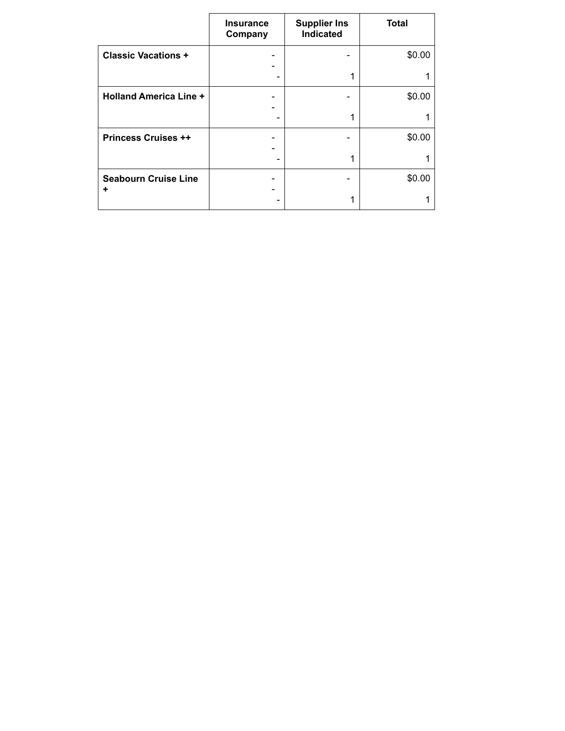|                               | <b>Insurance</b><br>Company | <b>Supplier Ins</b><br>Indicated | <b>Total</b> |
|-------------------------------|-----------------------------|----------------------------------|--------------|
| <b>Classic Vacations +</b>    |                             |                                  | \$0.00       |
|                               |                             | 1                                |              |
| <b>Holland America Line +</b> |                             |                                  | \$0.00       |
|                               |                             | 1                                |              |
| <b>Princess Cruises ++</b>    |                             |                                  | \$0.00       |
|                               |                             | 1                                |              |
| <b>Seabourn Cruise Line</b>   |                             |                                  | \$0.00       |
| ٠                             |                             | 1                                |              |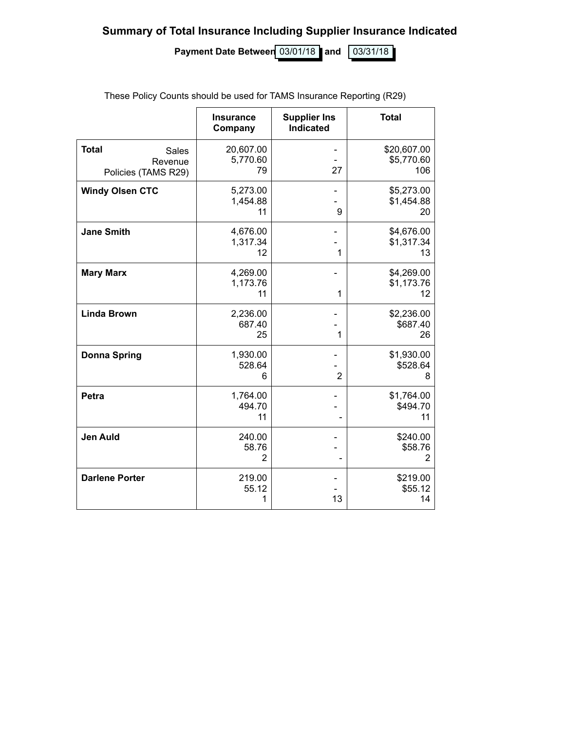**Summary of Total Insurance Including Supplier Insurance Indicated**

**Payment Date Between** 03/01/18 and 03/31/18

|                                                         | <b>Insurance</b><br>Company | <b>Supplier Ins</b><br><b>Indicated</b> | <b>Total</b>                          |
|---------------------------------------------------------|-----------------------------|-----------------------------------------|---------------------------------------|
| <b>Total</b><br>Sales<br>Revenue<br>Policies (TAMS R29) | 20,607.00<br>5,770.60<br>79 | 27                                      | \$20,607.00<br>\$5,770.60<br>106      |
| <b>Windy Olsen CTC</b>                                  | 5,273.00<br>1,454.88<br>11  | 9                                       | \$5,273.00<br>\$1,454.88<br>20        |
| <b>Jane Smith</b>                                       | 4,676.00<br>1,317.34<br>12  | 1                                       | \$4,676.00<br>\$1,317.34<br>13        |
| <b>Mary Marx</b>                                        | 4,269.00<br>1,173.76<br>11  | 1                                       | \$4,269.00<br>\$1,173.76<br>12        |
| <b>Linda Brown</b>                                      | 2,236.00<br>687.40<br>25    | 1                                       | \$2,236.00<br>\$687.40<br>26          |
| <b>Donna Spring</b>                                     | 1,930.00<br>528.64<br>6     | $\overline{2}$                          | \$1,930.00<br>\$528.64<br>8           |
| <b>Petra</b>                                            | 1,764.00<br>494.70<br>11    |                                         | \$1,764.00<br>\$494.70<br>11          |
| <b>Jen Auld</b>                                         | 240.00<br>58.76<br>2        |                                         | \$240.00<br>\$58.76<br>$\overline{2}$ |
| <b>Darlene Porter</b>                                   | 219.00<br>55.12<br>1        | 13                                      | \$219.00<br>\$55.12<br>14             |

These Policy Counts should be used for TAMS Insurance Reporting (R29)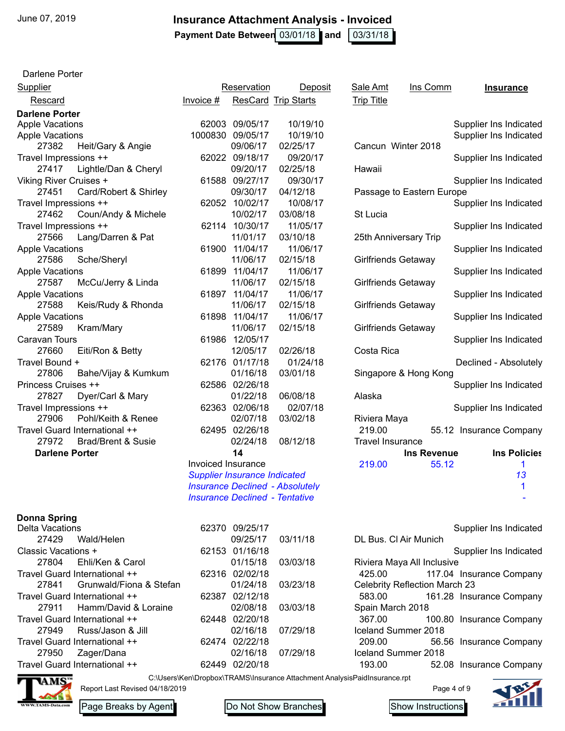**Payment Date Between** 03/01/18 and 103/31/18

Darlene Porter

| <b>Supplier</b>                        |                    | Reservation                           | Deposit                                | Sale Amt                   | Ins Comm                      | <b>Insurance</b>         |
|----------------------------------------|--------------------|---------------------------------------|----------------------------------------|----------------------------|-------------------------------|--------------------------|
| Rescard                                | $Invoice$ #        |                                       | <b>ResCard Trip Starts</b>             | <b>Trip Title</b>          |                               |                          |
| <b>Darlene Porter</b>                  |                    |                                       |                                        |                            |                               |                          |
| <b>Apple Vacations</b>                 |                    | 62003 09/05/17                        | 10/19/10                               |                            |                               | Supplier Ins Indicated   |
| <b>Apple Vacations</b>                 |                    | 1000830 09/05/17                      | 10/19/10                               |                            |                               | Supplier Ins Indicated   |
| 27382<br>Heit/Gary & Angie             |                    | 09/06/17                              | 02/25/17                               | Cancun Winter 2018         |                               |                          |
| Travel Impressions ++                  |                    | 62022 09/18/17                        | 09/20/17                               |                            |                               | Supplier Ins Indicated   |
| Lightle/Dan & Cheryl<br>27417          |                    | 09/20/17                              | 02/25/18                               | Hawaii                     |                               |                          |
| Viking River Cruises +                 |                    | 61588 09/27/17                        | 09/30/17                               |                            |                               | Supplier Ins Indicated   |
| Card/Robert & Shirley<br>27451         |                    | 09/30/17                              | 04/12/18                               |                            | Passage to Eastern Europe     |                          |
| Travel Impressions ++                  |                    | 62052 10/02/17                        | 10/08/17                               |                            |                               | Supplier Ins Indicated   |
| 27462<br>Coun/Andy & Michele           |                    | 10/02/17                              | 03/08/18                               | St Lucia                   |                               |                          |
| Travel Impressions ++                  |                    | 62114 10/30/17                        | 11/05/17                               |                            |                               | Supplier Ins Indicated   |
| 27566<br>Lang/Darren & Pat             |                    | 11/01/17                              | 03/10/18                               | 25th Anniversary Trip      |                               |                          |
| <b>Apple Vacations</b>                 |                    | 61900 11/04/17                        | 11/06/17                               |                            |                               | Supplier Ins Indicated   |
| 27586<br>Sche/Sheryl                   |                    | 11/06/17                              | 02/15/18                               | <b>Girlfriends Getaway</b> |                               |                          |
| <b>Apple Vacations</b>                 |                    | 61899 11/04/17                        | 11/06/17                               |                            |                               | Supplier Ins Indicated   |
| 27587<br>McCu/Jerry & Linda            |                    | 11/06/17                              | 02/15/18                               | Girlfriends Getaway        |                               |                          |
| <b>Apple Vacations</b>                 |                    | 61897 11/04/17                        | 11/06/17                               |                            |                               | Supplier Ins Indicated   |
| 27588<br>Keis/Rudy & Rhonda            |                    | 11/06/17                              | 02/15/18                               | Girlfriends Getaway        |                               |                          |
| <b>Apple Vacations</b>                 |                    | 61898 11/04/17                        | 11/06/17                               |                            |                               | Supplier Ins Indicated   |
| 27589<br>Kram/Mary                     |                    | 11/06/17                              | 02/15/18                               | Girlfriends Getaway        |                               |                          |
| <b>Caravan Tours</b>                   |                    | 61986 12/05/17                        |                                        |                            |                               | Supplier Ins Indicated   |
| 27660<br>Eiti/Ron & Betty              |                    | 12/05/17                              | 02/26/18                               | Costa Rica                 |                               |                          |
| Travel Bound +                         |                    | 62176 01/17/18                        | 01/24/18                               |                            |                               | Declined - Absolutely    |
| 27806<br>Bahe/Vijay & Kumkum           |                    | 01/16/18                              | 03/01/18                               |                            | Singapore & Hong Kong         |                          |
| Princess Cruises ++                    |                    | 62586 02/26/18                        |                                        |                            |                               | Supplier Ins Indicated   |
| 27827<br>Dyer/Carl & Mary              |                    | 01/22/18                              | 06/08/18                               | Alaska                     |                               |                          |
| Travel Impressions ++                  |                    | 62363 02/06/18                        | 02/07/18                               |                            |                               | Supplier Ins Indicated   |
| 27906<br>Pohl/Keith & Renee            |                    | 02/07/18                              | 03/02/18                               | Riviera Maya               |                               |                          |
| Travel Guard International ++          |                    | 62495 02/26/18                        |                                        | 219.00                     |                               | 55.12 Insurance Company  |
| 27972<br><b>Brad/Brent &amp; Susie</b> |                    | 02/24/18                              | 08/12/18                               | <b>Travel Insurance</b>    |                               |                          |
| <b>Darlene Porter</b>                  |                    | 14                                    |                                        |                            | <b>Ins Revenue</b>            | <b>Ins Policies</b>      |
|                                        | Invoiced Insurance |                                       |                                        | 219.00                     | 55.12                         | 1                        |
|                                        |                    | <b>Supplier Insurance Indicated</b>   |                                        |                            |                               | 13                       |
|                                        |                    |                                       | <b>Insurance Declined - Absolutely</b> |                            |                               | 1                        |
|                                        |                    | <b>Insurance Declined - Tentative</b> |                                        |                            |                               |                          |
|                                        |                    |                                       |                                        |                            |                               |                          |
| <b>Donna Spring</b>                    |                    |                                       |                                        |                            |                               |                          |
| <b>Delta Vacations</b>                 |                    | 62370 09/25/17                        |                                        |                            |                               | Supplier Ins Indicated   |
| 27429<br>Wald/Helen                    |                    | 09/25/17                              | 03/11/18                               | DL Bus. CI Air Munich      |                               |                          |
| Classic Vacations +                    |                    | 62153 01/16/18                        |                                        |                            |                               | Supplier Ins Indicated   |
| 27804<br>Ehli/Ken & Carol              |                    | 01/15/18                              | 03/03/18                               |                            | Riviera Maya All Inclusive    |                          |
| Travel Guard International ++          |                    | 62316 02/02/18                        |                                        | 425.00                     |                               | 117.04 Insurance Company |
| 27841<br>Grunwald/Fiona & Stefan       |                    | 01/24/18                              | 03/23/18                               |                            | Celebrity Reflection March 23 |                          |
| Travel Guard International ++          |                    | 62387 02/12/18                        |                                        | 583.00                     |                               | 161.28 Insurance Company |
| 27911<br>Hamm/David & Loraine          |                    | 02/08/18                              | 03/03/18                               | Spain March 2018           |                               |                          |
| Travel Guard International ++          |                    | 62448 02/20/18                        |                                        | 367.00                     |                               | 100.80 Insurance Company |
| 27949<br>Russ/Jason & Jill             |                    | 02/16/18                              | 07/29/18                               | Iceland Summer 2018        |                               |                          |
| Travel Guard International ++          |                    | 62474 02/22/18                        |                                        | 209.00                     |                               | 56.56 Insurance Company  |
| 27950<br>Zager/Dana                    |                    | 02/16/18                              | 07/29/18                               | Iceland Summer 2018        |                               |                          |
| Travel Guard International ++          |                    | 62449 02/20/18                        |                                        | 193.00                     |                               | 52.08 Insurance Company  |

C:\Users\Ken\Dropbox\TRAMS\Insurance Attachment AnalysisPaidInsurance.rpt Report Last Revised 04/18/2019





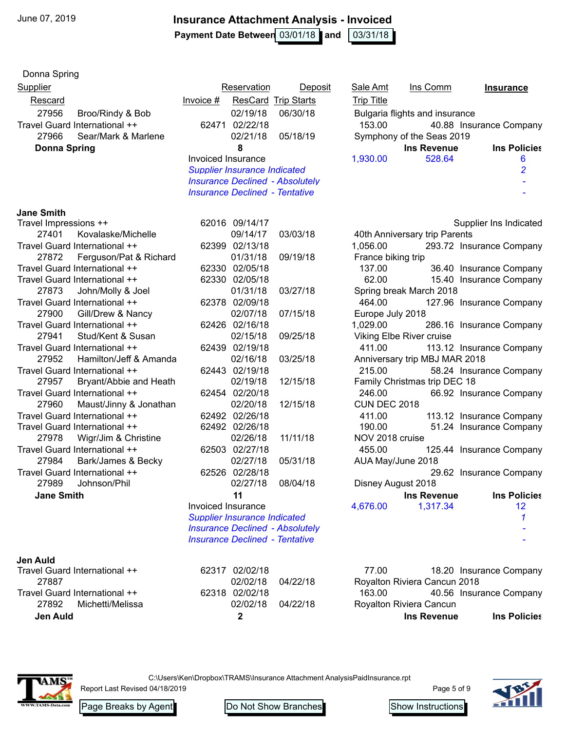**Payment Date Between** 03/01/18 and 103/31/18

| Donna Spring                                        |                                        |                            |                           |                                |                          |
|-----------------------------------------------------|----------------------------------------|----------------------------|---------------------------|--------------------------------|--------------------------|
| Supplier                                            | Reservation                            | Deposit                    | <b>Sale Amt</b>           | Ins Comm                       | <b>Insurance</b>         |
| Rescard                                             | $Invoice$ #                            | <b>ResCard Trip Starts</b> | <b>Trip Title</b>         |                                |                          |
| 27956<br>Broo/Rindy & Bob                           | 02/19/18                               | 06/30/18                   |                           | Bulgaria flights and insurance |                          |
| Travel Guard International ++                       | 62471<br>02/22/18                      |                            | 153.00                    |                                | 40.88 Insurance Company  |
| 27966<br>Sear/Mark & Marlene                        | 02/21/18                               | 05/18/19                   |                           | Symphony of the Seas 2019      |                          |
| <b>Donna Spring</b>                                 | 8                                      |                            |                           | <b>Ins Revenue</b>             | <b>Ins Policies</b>      |
|                                                     | Invoiced Insurance                     |                            | 1,930.00                  | 528.64                         | 6                        |
|                                                     | <b>Supplier Insurance Indicated</b>    |                            |                           |                                | 2                        |
|                                                     | <b>Insurance Declined - Absolutely</b> |                            |                           |                                |                          |
|                                                     | <b>Insurance Declined - Tentative</b>  |                            |                           |                                |                          |
| <b>Jane Smith</b>                                   |                                        |                            |                           |                                |                          |
| Travel Impressions ++                               | 62016 09/14/17                         |                            |                           |                                | Supplier Ins Indicated   |
| 27401<br>Kovalaske/Michelle                         | 09/14/17                               | 03/03/18                   |                           | 40th Anniversary trip Parents  |                          |
| Travel Guard International ++                       | 62399 02/13/18                         |                            | 1,056.00                  |                                | 293.72 Insurance Company |
| Ferguson/Pat & Richard<br>27872                     | 01/31/18                               | 09/19/18                   | France biking trip        |                                |                          |
| Travel Guard International ++                       | 62330 02/05/18                         |                            | 137.00                    |                                | 36.40 Insurance Company  |
| Travel Guard International ++                       | 62330 02/05/18                         |                            | 62.00                     |                                | 15.40 Insurance Company  |
| 27873<br>John/Molly & Joel                          | 01/31/18                               | 03/27/18                   |                           | Spring break March 2018        |                          |
| Travel Guard International ++                       | 62378 02/09/18                         |                            | 464.00                    |                                | 127.96 Insurance Company |
| 27900<br>Gill/Drew & Nancy                          | 02/07/18                               | 07/15/18                   | Europe July 2018          |                                |                          |
| Travel Guard International ++                       | 62426 02/16/18                         |                            | 1,029.00                  |                                | 286.16 Insurance Company |
| 27941<br>Stud/Kent & Susan                          | 02/15/18                               | 09/25/18                   |                           | Viking Elbe River cruise       |                          |
| Travel Guard International ++                       | 62439 02/19/18                         |                            | 411.00                    |                                | 113.12 Insurance Company |
| 27952<br>Hamilton/Jeff & Amanda                     | 02/16/18                               | 03/25/18                   |                           | Anniversary trip MBJ MAR 2018  |                          |
| Travel Guard International ++                       | 62443 02/19/18                         |                            | 215.00                    |                                | 58.24 Insurance Company  |
| 27957<br>Bryant/Abbie and Heath                     | 02/19/18                               | 12/15/18                   |                           | Family Christmas trip DEC 18   |                          |
| Travel Guard International ++                       | 62454 02/20/18                         |                            | 246.00                    |                                | 66.92 Insurance Company  |
| 27960<br>Maust/Jinny & Jonathan                     | 02/20/18                               | 12/15/18                   | <b>CUN DEC 2018</b>       |                                |                          |
| Travel Guard International ++                       | 62492 02/26/18                         |                            | 411.00                    |                                | 113.12 Insurance Company |
| Travel Guard International ++                       | 62492 02/26/18                         |                            | 190.00<br>NOV 2018 cruise |                                | 51.24 Insurance Company  |
| 27978<br>Wigr/Jim & Christine                       | 02/26/18<br>62503 02/27/18             | 11/11/18                   |                           |                                |                          |
| Travel Guard International ++<br>27984              | 02/27/18                               | 05/31/18                   | 455.00                    |                                | 125.44 Insurance Company |
| Bark/James & Becky<br>Travel Guard International ++ | 62526 02/28/18                         |                            | AUA May/June 2018         |                                | 29.62 Insurance Company  |
| 27989<br>Johnson/Phil                               | 02/27/18                               | 08/04/18                   | Disney August 2018        |                                |                          |
| <b>Jane Smith</b>                                   | 11                                     |                            |                           | <b>Ins Revenue</b>             | <b>Ins Policies</b>      |
|                                                     | Invoiced Insurance                     |                            | 4,676.00                  | 1,317.34                       | 12                       |
|                                                     | <b>Supplier Insurance Indicated</b>    |                            |                           |                                |                          |
|                                                     | <b>Insurance Declined - Absolutely</b> |                            |                           |                                |                          |
|                                                     | <b>Insurance Declined - Tentative</b>  |                            |                           |                                |                          |
|                                                     |                                        |                            |                           |                                |                          |
| Jen Auld                                            |                                        |                            |                           |                                |                          |
| Travel Guard International ++<br>27887              | 62317 02/02/18                         |                            | 77.00                     |                                | 18.20 Insurance Company  |
| Travel Guard International ++                       | 02/02/18<br>62318 02/02/18             | 04/22/18                   | 163.00                    | Royalton Riviera Cancun 2018   |                          |
| 27892<br>Michetti/Melissa                           | 02/02/18                               | 04/22/18                   |                           | Royalton Riviera Cancun        | 40.56 Insurance Company  |
| Jen Auld                                            | 2                                      |                            |                           | <b>Ins Revenue</b>             | <b>Ins Policies</b>      |
|                                                     |                                        |                            |                           |                                |                          |



C:\Users\Ken\Dropbox\TRAMS\Insurance Attachment AnalysisPaidInsurance.rpt

Report Last Revised 04/18/2019

Page Breaks by Agent Do Not Show Branches Show Instructions



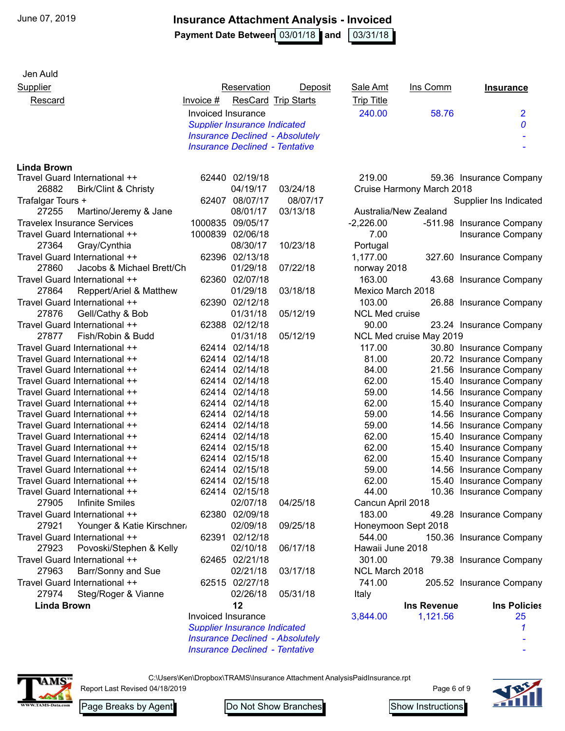**Payment Date Between** 03/01/18 and 103/31/18

| Jen Auld                                                       |                    |                                     |                                        |                       |                           |                                                    |
|----------------------------------------------------------------|--------------------|-------------------------------------|----------------------------------------|-----------------------|---------------------------|----------------------------------------------------|
| <b>Supplier</b>                                                |                    | Reservation                         | Deposit                                | Sale Amt              | Ins Comm                  | <b>Insurance</b>                                   |
| Rescard                                                        | Invoice $#$        |                                     | <b>ResCard Trip Starts</b>             | <b>Trip Title</b>     |                           |                                                    |
|                                                                | Invoiced Insurance |                                     |                                        | 240.00                | 58.76                     | $\overline{2}$                                     |
|                                                                |                    | <b>Supplier Insurance Indicated</b> |                                        |                       |                           | 0                                                  |
|                                                                |                    |                                     | <b>Insurance Declined - Absolutely</b> |                       |                           |                                                    |
|                                                                |                    |                                     | <b>Insurance Declined - Tentative</b>  |                       |                           |                                                    |
|                                                                |                    |                                     |                                        |                       |                           |                                                    |
| <b>Linda Brown</b>                                             |                    |                                     |                                        |                       |                           |                                                    |
| Travel Guard International ++                                  |                    | 62440 02/19/18                      |                                        | 219.00                |                           | 59.36 Insurance Company                            |
| 26882<br><b>Birk/Clint &amp; Christy</b>                       |                    | 04/19/17                            | 03/24/18                               |                       | Cruise Harmony March 2018 |                                                    |
| Trafalgar Tours +                                              | 62407              | 08/07/17                            | 08/07/17                               |                       |                           | Supplier Ins Indicated                             |
| 27255<br>Martino/Jeremy & Jane                                 |                    | 08/01/17                            | 03/13/18                               |                       | Australia/New Zealand     |                                                    |
| <b>Travelex Insurance Services</b>                             | 1000835            | 09/05/17                            |                                        | $-2,226.00$           |                           | -511.98 Insurance Company                          |
| Travel Guard International ++                                  |                    | 1000839 02/06/18                    |                                        | 7.00                  |                           | Insurance Company                                  |
| 27364<br>Gray/Cynthia                                          |                    | 08/30/17                            | 10/23/18                               | Portugal              |                           |                                                    |
| Travel Guard International ++                                  |                    | 62396 02/13/18                      |                                        | 1,177.00              |                           | 327.60 Insurance Company                           |
| 27860<br>Jacobs & Michael Brett/Ch                             |                    | 01/29/18                            | 07/22/18                               | norway 2018           |                           |                                                    |
| Travel Guard International ++                                  |                    | 62360 02/07/18                      |                                        | 163.00                |                           | 43.68 Insurance Company                            |
| 27864<br>Reppert/Ariel & Matthew                               |                    | 01/29/18                            | 03/18/18                               | Mexico March 2018     |                           |                                                    |
| Travel Guard International ++                                  |                    | 62390 02/12/18                      |                                        | 103.00                |                           | 26.88 Insurance Company                            |
| 27876<br>Gell/Cathy & Bob                                      |                    | 01/31/18                            | 05/12/19                               | <b>NCL Med cruise</b> |                           |                                                    |
| Travel Guard International ++                                  |                    | 62388 02/12/18                      |                                        | 90.00                 |                           | 23.24 Insurance Company                            |
| 27877<br>Fish/Robin & Budd                                     |                    | 01/31/18                            | 05/12/19                               |                       | NCL Med cruise May 2019   |                                                    |
| Travel Guard International ++                                  |                    | 62414 02/14/18                      |                                        | 117.00                |                           | 30.80 Insurance Company                            |
| Travel Guard International ++                                  |                    | 62414 02/14/18                      |                                        | 81.00                 |                           | 20.72 Insurance Company                            |
| Travel Guard International ++                                  |                    | 62414 02/14/18                      |                                        | 84.00                 |                           | 21.56 Insurance Company                            |
| Travel Guard International ++                                  | 62414              | 02/14/18                            |                                        | 62.00                 |                           | 15.40 Insurance Company                            |
| Travel Guard International ++                                  | 62414              | 02/14/18                            |                                        | 59.00                 |                           | 14.56 Insurance Company                            |
| Travel Guard International ++                                  | 62414              | 02/14/18                            |                                        | 62.00                 |                           | 15.40 Insurance Company                            |
| Travel Guard International ++                                  | 62414              | 02/14/18                            |                                        | 59.00                 |                           | 14.56 Insurance Company                            |
| Travel Guard International ++                                  | 62414              | 02/14/18                            |                                        | 59.00                 |                           | 14.56 Insurance Company                            |
| Travel Guard International ++                                  | 62414              | 02/14/18                            |                                        | 62.00                 |                           | 15.40 Insurance Company                            |
| Travel Guard International ++                                  | 62414              | 02/15/18<br>62414 02/15/18          |                                        | 62.00                 |                           | 15.40 Insurance Company                            |
| Travel Guard International ++<br>Travel Guard International ++ |                    | 62414 02/15/18                      |                                        | 62.00<br>59.00        |                           | 15.40 Insurance Company                            |
| Travel Guard International ++                                  |                    | 62414 02/15/18                      |                                        | 62.00                 |                           | 14.56 Insurance Company<br>15.40 Insurance Company |
| Travel Guard International ++                                  |                    | 62414 02/15/18                      |                                        | 44.00                 |                           | 10.36 Insurance Company                            |
| 27905<br><b>Infinite Smiles</b>                                |                    | 02/07/18                            | 04/25/18                               | Cancun April 2018     |                           |                                                    |
| Travel Guard International ++                                  |                    | 62380 02/09/18                      |                                        | 183.00                |                           |                                                    |
| 27921<br>Younger & Katie Kirschner,                            |                    | 02/09/18                            | 09/25/18                               |                       | Honeymoon Sept 2018       | 49.28 Insurance Company                            |
| Travel Guard International ++                                  |                    | 62391 02/12/18                      |                                        | 544.00                |                           | 150.36 Insurance Company                           |
| 27923<br>Povoski/Stephen & Kelly                               |                    | 02/10/18                            | 06/17/18                               | Hawaii June 2018      |                           |                                                    |
| Travel Guard International ++                                  |                    | 62465 02/21/18                      |                                        | 301.00                |                           | 79.38 Insurance Company                            |
| 27963<br>Barr/Sonny and Sue                                    |                    | 02/21/18                            | 03/17/18                               | NCL March 2018        |                           |                                                    |
| Travel Guard International ++                                  |                    | 62515 02/27/18                      |                                        | 741.00                |                           |                                                    |
| Steg/Roger & Vianne<br>27974                                   |                    | 02/26/18                            | 05/31/18                               |                       |                           | 205.52 Insurance Company                           |
| <b>Linda Brown</b>                                             |                    | 12                                  |                                        | Italy                 | <b>Ins Revenue</b>        | <b>Ins Policies</b>                                |
|                                                                | Invoiced Insurance |                                     |                                        | 3,844.00              | 1,121.56                  | 25                                                 |
|                                                                |                    | <b>Supplier Insurance Indicated</b> |                                        |                       |                           |                                                    |
|                                                                |                    |                                     | <b>Insurance Declined - Absolutely</b> |                       |                           |                                                    |
|                                                                |                    |                                     | <b>Insurance Declined - Tentative</b>  |                       |                           |                                                    |
|                                                                |                    |                                     |                                        |                       |                           |                                                    |



C:\Users\Ken\Dropbox\TRAMS\Insurance Attachment AnalysisPaidInsurance.rpt

Report Last Revised 04/18/2019

Page 6 of 9



Page Breaks by Agent Do Not Show Branches Show Instructions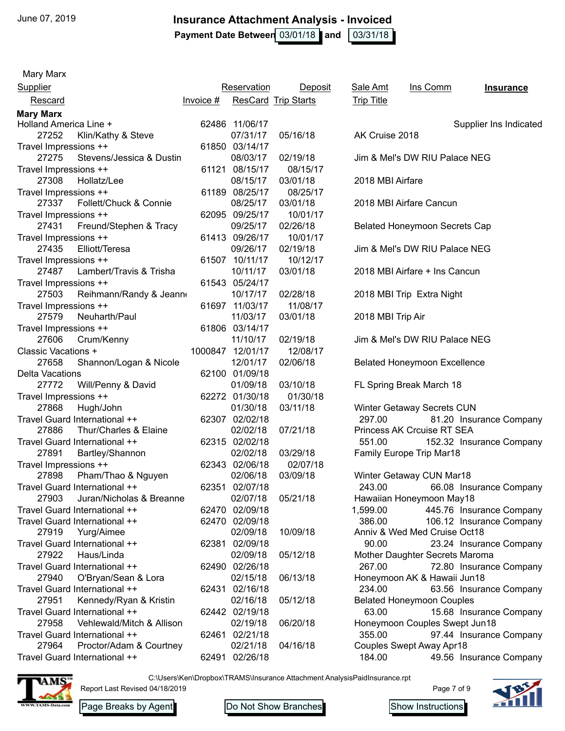**Payment Date Between** 03/01/18 and 103/31/18

Mary Marx

| <b>Supplier</b>                    |           | Reservation      | Deposit                    | <b>Sale Amt</b>   | Ins Comm                             | <b>Insurance</b>         |
|------------------------------------|-----------|------------------|----------------------------|-------------------|--------------------------------------|--------------------------|
| Rescard                            | Invoice # |                  | <b>ResCard Trip Starts</b> | <b>Trip Title</b> |                                      |                          |
| <b>Mary Marx</b>                   |           |                  |                            |                   |                                      |                          |
| Holland America Line +             |           | 62486 11/06/17   |                            |                   |                                      | Supplier Ins Indicated   |
| 27252<br>Klin/Kathy & Steve        |           | 07/31/17         | 05/16/18                   | AK Cruise 2018    |                                      |                          |
| Travel Impressions ++              |           | 61850 03/14/17   |                            |                   |                                      |                          |
| Stevens/Jessica & Dustin<br>27275  |           | 08/03/17         | 02/19/18                   |                   | Jim & Mel's DW RIU Palace NEG        |                          |
| Travel Impressions ++              |           | 61121 08/15/17   | 08/15/17                   |                   |                                      |                          |
| 27308<br>Hollatz/Lee               |           | 08/15/17         | 03/01/18                   | 2018 MBI Airfare  |                                      |                          |
| Travel Impressions ++              |           | 61189 08/25/17   | 08/25/17                   |                   |                                      |                          |
| Follett/Chuck & Connie<br>27337    |           | 08/25/17         | 03/01/18                   |                   | 2018 MBI Airfare Cancun              |                          |
| Travel Impressions ++              |           | 62095 09/25/17   | 10/01/17                   |                   |                                      |                          |
| 27431<br>Freund/Stephen & Tracy    |           | 09/25/17         | 02/26/18                   |                   | <b>Belated Honeymoon Secrets Cap</b> |                          |
| Travel Impressions ++              |           | 61413 09/26/17   | 10/01/17                   |                   |                                      |                          |
| 27435<br>Elliott/Teresa            |           | 09/26/17         | 02/19/18                   |                   | Jim & Mel's DW RIU Palace NEG        |                          |
| Travel Impressions ++              |           | 61507 10/11/17   | 10/12/17                   |                   |                                      |                          |
| 27487<br>Lambert/Travis & Trisha   |           | 10/11/17         | 03/01/18                   |                   | 2018 MBI Airfare + Ins Cancun        |                          |
| Travel Impressions ++              |           | 61543 05/24/17   |                            |                   |                                      |                          |
| 27503<br>Reihmann/Randy & Jeann    |           | 10/17/17         | 02/28/18                   |                   | 2018 MBI Trip Extra Night            |                          |
| Travel Impressions ++              |           | 61697 11/03/17   | 11/08/17                   |                   |                                      |                          |
| Neuharth/Paul<br>27579             |           | 11/03/17         | 03/01/18                   | 2018 MBI Trip Air |                                      |                          |
| Travel Impressions ++              |           | 61806 03/14/17   |                            |                   |                                      |                          |
| 27606<br>Crum/Kenny                |           | 11/10/17         | 02/19/18                   |                   | Jim & Mel's DW RIU Palace NEG        |                          |
| <b>Classic Vacations +</b>         |           | 1000847 12/01/17 | 12/08/17                   |                   |                                      |                          |
| 27658<br>Shannon/Logan & Nicole    |           | 12/01/17         | 02/06/18                   |                   | <b>Belated Honeymoon Excellence</b>  |                          |
| Delta Vacations                    |           | 62100 01/09/18   |                            |                   |                                      |                          |
| 27772<br>Will/Penny & David        |           | 01/09/18         | 03/10/18                   |                   | FL Spring Break March 18             |                          |
| Travel Impressions ++              |           | 62272 01/30/18   | 01/30/18                   |                   |                                      |                          |
| 27868<br>Hugh/John                 |           | 01/30/18         | 03/11/18                   |                   | Winter Getaway Secrets CUN           |                          |
| Travel Guard International ++      |           | 62307 02/02/18   |                            | 297.00            |                                      | 81.20 Insurance Company  |
| 27886<br>Thur/Charles & Elaine     |           | 02/02/18         | 07/21/18                   |                   | Princess AK Crcuise RT SEA           |                          |
| Travel Guard International ++      |           | 62315 02/02/18   |                            | 551.00            |                                      | 152.32 Insurance Company |
| 27891<br>Bartley/Shannon           |           | 02/02/18         | 03/29/18                   |                   | <b>Family Europe Trip Mar18</b>      |                          |
| Travel Impressions ++              |           | 62343 02/06/18   | 02/07/18                   |                   |                                      |                          |
| 27898<br>Pham/Thao & Nguyen        |           | 02/06/18         | 03/09/18                   |                   | Winter Getaway CUN Mar18             |                          |
| Travel Guard International ++      | 62351     | 02/07/18         |                            | 243.00            |                                      | 66.08 Insurance Company  |
| Juran/Nicholas & Breanne<br>27903  |           | 02/07/18         | 05/21/18                   |                   | Hawaiian Honeymoon May18             |                          |
| Travel Guard International ++      |           | 62470 02/09/18   |                            | 1,599.00          |                                      | 445.76 Insurance Company |
| Travel Guard International ++      |           | 62470 02/09/18   |                            | 386.00            |                                      | 106.12 Insurance Company |
| Yurg/Aimee<br>27919                |           | 02/09/18         | 10/09/18                   |                   | Anniv & Wed Med Cruise Oct18         |                          |
| Travel Guard International ++      | 62381     | 02/09/18         |                            | 90.00             |                                      | 23.24 Insurance Company  |
| 27922<br>Haus/Linda                |           | 02/09/18         | 05/12/18                   |                   | Mother Daughter Secrets Maroma       |                          |
| Travel Guard International ++      |           | 62490 02/26/18   |                            | 267.00            |                                      | 72.80 Insurance Company  |
| O'Bryan/Sean & Lora<br>27940       |           | 02/15/18         | 06/13/18                   |                   | Honeymoon AK & Hawaii Jun18          |                          |
| Travel Guard International ++      | 62431     | 02/16/18         |                            | 234.00            |                                      | 63.56 Insurance Company  |
| Kennedy/Ryan & Kristin<br>27951    |           | 02/16/18         | 05/12/18                   |                   | <b>Belated Honeymoon Couples</b>     |                          |
| Travel Guard International ++      |           | 62442 02/19/18   |                            | 63.00             |                                      | 15.68 Insurance Company  |
| 27958<br>Vehlewald/Mitch & Allison |           | 02/19/18         | 06/20/18                   |                   | Honeymoon Couples Swept Jun18        |                          |
| Travel Guard International ++      |           | 62461 02/21/18   |                            | 355.00            |                                      | 97.44 Insurance Company  |
| 27964<br>Proctor/Adam & Courtney   |           | 02/21/18         | 04/16/18                   |                   | <b>Couples Swept Away Apr18</b>      |                          |
| Travel Guard International ++      |           | 62491 02/26/18   |                            | 184.00            |                                      | 49.56 Insurance Company  |

C:\Users\Ken\Dropbox\TRAMS\Insurance Attachment AnalysisPaidInsurance.rpt



Report Last Revised 04/18/2019

Page 7 of 9



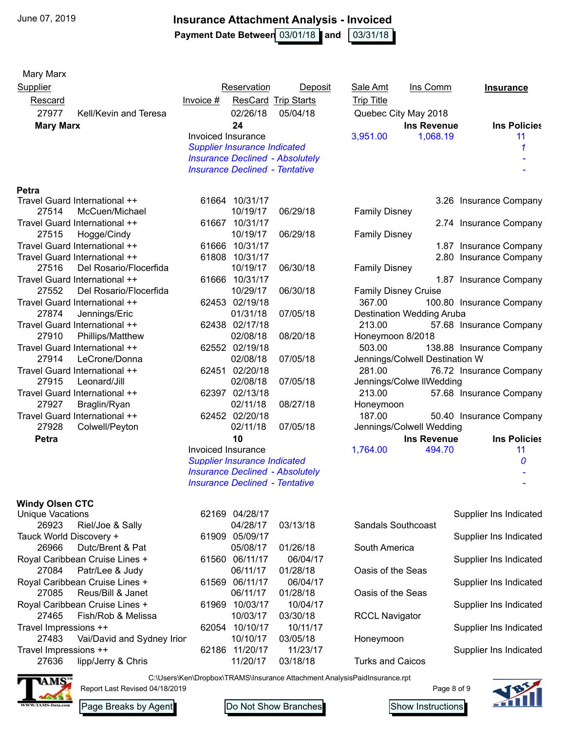Mary Marx

#### **Insurance Attachment Analysis - Invoiced**

**Payment Date Between** 03/01/18 and 103/31/18

| <b>Rescard</b>                  | <b>ResCard Trip Starts</b><br>Invoice $#$ | <b>Trip Title</b>                |
|---------------------------------|-------------------------------------------|----------------------------------|
| 27977<br>Kell/Kevin and Teresa  | 02/26/18<br>05/04/18                      | Quebec City May 2018             |
| <b>Mary Marx</b>                | 24                                        | <b>Ins Revenue</b>               |
|                                 | Invoiced Insurance                        | 3,951.00<br>1,068.19             |
|                                 | <b>Supplier Insurance Indicated</b>       |                                  |
|                                 | <b>Insurance Declined - Absolutely</b>    |                                  |
|                                 | <b>Insurance Declined - Tentative</b>     |                                  |
| Petra                           |                                           |                                  |
| Travel Guard International ++   | 61664 10/31/17                            | 3.26 Insura                      |
| 27514<br>McCuen/Michael         | 10/19/17<br>06/29/18                      | <b>Family Disney</b>             |
| Travel Guard International ++   | 61667 10/31/17                            | 2.74 Insura                      |
| 27515<br>Hogge/Cindy            | 10/19/17<br>06/29/18                      | <b>Family Disney</b>             |
| Travel Guard International ++   | 10/31/17<br>61666                         | 1.87 Insura                      |
| Travel Guard International ++   | 61808 10/31/17                            | 2.80 Insura                      |
| 27516<br>Del Rosario/Flocerfida | 10/19/17<br>06/30/18                      | <b>Family Disney</b>             |
| Travel Guard International ++   | 61666 10/31/17                            | 1.87 Insura                      |
| 27552<br>Del Rosario/Flocerfida | 10/29/17<br>06/30/18                      | <b>Family Disney Cruise</b>      |
| Travel Guard International ++   | 62453 02/19/18                            | 367.00<br>100.80 Insura          |
| 27874<br>Jennings/Eric          | 01/31/18<br>07/05/18                      | <b>Destination Wedding Aruba</b> |
| Travel Guard International ++   | 62438 02/17/18                            | 213.00<br>57.68 Insura           |
| 27910<br>Phillips/Matthew       | 02/08/18<br>08/20/18                      | Honeymoon 8/2018                 |
| Travel Guard International ++   | 62552 02/19/18                            | 503.00<br>138.88 Insura          |
| 27914<br>LeCrone/Donna          | 02/08/18<br>07/05/18                      | Jennings/Colwell Destination W   |
| Travel Guard International ++   | 62451 02/20/18                            | 281.00<br>76.72 Insura           |
| 27915<br>Leonard/Jill           | 02/08/18<br>07/05/18                      | Jennings/Colwe IIWedding         |
| Travel Guard International ++   | 62397 02/13/18                            | 213.00<br>57.68 Insura           |
| 27927<br>Braglin/Ryan           | 02/11/18<br>08/27/18                      | Honeymoon                        |
| Travel Guard International ++   | 62452 02/20/18                            | 187.00<br>50.40 Insura           |
| 27928<br>Colwell/Peyton         | 02/11/18<br>07/05/18                      | Jennings/Colwell Wedding         |
| Petra                           | 10                                        | <b>Ins Revenue</b>               |
|                                 | Invoiced Insurance                        | 494.70<br>1,764.00               |
|                                 | <b>Supplier Insurance Indicated</b>       |                                  |
|                                 | <b>Insurance Declined - Absolutely</b>    |                                  |
|                                 | <b>Insurance Declined - Tentative</b>     |                                  |

# **Windy Olsen CTC**

| Unique vacations                    | <u>02.109 04/20/17</u> |          |                           | Supplier ins indicated |
|-------------------------------------|------------------------|----------|---------------------------|------------------------|
| Riel/Joe & Sally<br>26923           | 04/28/17               | 03/13/18 | <b>Sandals Southcoast</b> |                        |
| Tauck World Discovery +             | 05/09/17<br>61909      |          |                           | Supplier Ins Indicated |
| Dutc/Brent & Pat<br>26966           | 05/08/17               | 01/26/18 | South America             |                        |
| Royal Caribbean Cruise Lines +      | 06/11/17<br>61560      | 06/04/17 |                           | Supplier Ins Indicated |
| 27084 Patr/Lee & Judy               | 06/11/17               | 01/28/18 | Oasis of the Seas         |                        |
| Royal Caribbean Cruise Lines +      | 06/11/17<br>61569      | 06/04/17 |                           | Supplier Ins Indicated |
| Reus/Bill & Janet<br>27085          | 06/11/17               | 01/28/18 | Oasis of the Seas         |                        |
| Royal Caribbean Cruise Lines +      | 10/03/17<br>61969      | 10/04/17 |                           | Supplier Ins Indicated |
| Fish/Rob & Melissa<br>27465         | 10/03/17               | 03/30/18 | <b>RCCL Navigator</b>     |                        |
| Travel Impressions ++               | 10/10/17<br>62054      | 10/11/17 |                           | Supplier Ins Indicated |
| Vai/David and Sydney Irior<br>27483 | 10/10/17               | 03/05/18 | Honeymoon                 |                        |
| Travel Impressions ++               | 11/20/17<br>62186      | 11/23/17 |                           | Supplier Ins Indicated |
| lipp/Jerry & Chris<br>27636         | 11/20/17               | 03/18/18 | <b>Turks and Caicos</b>   |                        |

Report Last Revised 04/18/2019

| 62169 | 04/28/17 |          |
|-------|----------|----------|
|       | 04/28/17 | 03/13/18 |
| 61909 | 05/09/17 |          |
|       | 05/08/17 | 01/26/18 |
| 61560 | 06/11/17 | 06/04/   |
|       | 06/11/17 | 01/28/18 |
| 61569 | 06/11/17 | 06/04/   |
|       | 06/11/17 | 01/28/18 |
| 61969 | 10/03/17 | 10/04/   |
|       | 10/03/17 | 03/30/18 |
| 62054 | 10/10/17 | 10/11/   |
|       | 10/10/17 | 03/05/18 |
| 62186 | 11/20/17 | 11/23/7  |
|       | 11/20/17 | 03/18/18 |

| <u>Supplier</u>  |                               |                    | Reservation                           | Deposit                                | Sale Amt                    | Ins Comm                         | <b>Insurance</b>         |
|------------------|-------------------------------|--------------------|---------------------------------------|----------------------------------------|-----------------------------|----------------------------------|--------------------------|
| Rescard          |                               | $ Invoice #$       |                                       | <b>ResCard Trip Starts</b>             | <b>Trip Title</b>           |                                  |                          |
| 27977            | Kell/Kevin and Teresa         |                    | 02/26/18                              | 05/04/18                               | Quebec City May 2018        |                                  |                          |
| <b>Mary Marx</b> |                               |                    | 24                                    |                                        |                             | <b>Ins Revenue</b>               | <b>Ins Policies</b>      |
|                  |                               | Invoiced Insurance |                                       |                                        | 3,951.00                    | 1,068.19                         | 11                       |
|                  |                               |                    | <b>Supplier Insurance Indicated</b>   |                                        |                             |                                  |                          |
|                  |                               |                    |                                       | <b>Insurance Declined - Absolutely</b> |                             |                                  |                          |
|                  |                               |                    | <b>Insurance Declined - Tentative</b> |                                        |                             |                                  |                          |
| Petra            |                               |                    |                                       |                                        |                             |                                  |                          |
|                  | Travel Guard International ++ |                    | 61664 10/31/17                        |                                        |                             |                                  | 3.26 Insurance Company   |
| 27514            | McCuen/Michael                |                    | 10/19/17                              | 06/29/18                               | <b>Family Disney</b>        |                                  |                          |
|                  | Travel Guard International ++ |                    | 61667 10/31/17                        |                                        |                             |                                  | 2.74 Insurance Company   |
| 27515            | Hogge/Cindy                   |                    | 10/19/17                              | 06/29/18                               | <b>Family Disney</b>        |                                  |                          |
|                  | Travel Guard International ++ |                    | 61666 10/31/17                        |                                        |                             |                                  | 1.87 Insurance Company   |
|                  | Travel Guard International ++ |                    | 61808 10/31/17                        |                                        |                             |                                  | 2.80 Insurance Company   |
| 27516            | Del Rosario/Flocerfida        |                    | 10/19/17                              | 06/30/18                               | <b>Family Disney</b>        |                                  |                          |
|                  | Travel Guard International ++ |                    | 61666 10/31/17                        |                                        |                             |                                  | 1.87 Insurance Company   |
| 27552            | Del Rosario/Flocerfida        |                    | 10/29/17                              | 06/30/18                               | <b>Family Disney Cruise</b> |                                  |                          |
|                  | Travel Guard International ++ |                    | 62453 02/19/18                        |                                        | 367.00                      |                                  | 100.80 Insurance Company |
| 27874            | Jennings/Eric                 |                    | 01/31/18                              | 07/05/18                               |                             | <b>Destination Wedding Aruba</b> |                          |
|                  | Travel Guard International ++ |                    | 62438 02/17/18                        |                                        | 213.00                      |                                  | 57.68 Insurance Company  |
| 27910            | Phillips/Matthew              |                    | 02/08/18                              | 08/20/18                               | Honeymoon 8/2018            |                                  |                          |
|                  | Travel Guard International ++ |                    | 62552 02/19/18                        |                                        | 503.00                      |                                  | 138.88 Insurance Company |
| 27914            | LeCrone/Donna                 |                    | 02/08/18                              | 07/05/18                               |                             | Jennings/Colwell Destination W   |                          |
|                  | Travel Guard International ++ |                    | 62451 02/20/18                        |                                        | 281.00                      |                                  | 76.72 Insurance Company  |
| 27915            | Leonard/Jill                  |                    | 02/08/18                              | 07/05/18                               |                             | Jennings/Colwe IIWedding         |                          |
|                  | Travel Guard International ++ |                    | 62397 02/13/18                        |                                        | 213.00                      |                                  | 57.68 Insurance Company  |
| 27927            | Braglin/Ryan                  |                    | 02/11/18                              | 08/27/18                               | Honeymoon                   |                                  |                          |
|                  | Travel Guard International ++ |                    | 62452 02/20/18                        |                                        | 187.00                      |                                  | 50.40 Insurance Company  |
| 27928            | Colwell/Peyton                |                    | 02/11/18                              | 07/05/18                               |                             | Jennings/Colwell Wedding         |                          |
| Petra            |                               |                    | 10                                    |                                        |                             | <b>Ins Revenue</b>               | <b>Ins Policies</b>      |
|                  |                               | Invoiced Insurance |                                       |                                        | 1,764.00                    | 494.70                           | 11                       |
|                  |                               |                    | <b>Supplier Insurance Indicated</b>   |                                        |                             |                                  | $\boldsymbol{0}$         |

| Unique Vacations                    | 62169 04/28/17    |          |                           | Supplier Ins Indicated |
|-------------------------------------|-------------------|----------|---------------------------|------------------------|
| Riel/Joe & Sally<br>26923           | 04/28/17          | 03/13/18 | <b>Sandals Southcoast</b> |                        |
| Tauck World Discovery +             | 05/09/17<br>61909 |          |                           | Supplier Ins Indicated |
| Dutc/Brent & Pat<br>26966           | 05/08/17          | 01/26/18 | South America             |                        |
| Royal Caribbean Cruise Lines +      | 06/11/17<br>61560 | 06/04/17 |                           | Supplier Ins Indicated |
| Patr/Lee & Judy<br>27084            | 06/11/17          | 01/28/18 | Oasis of the Seas         |                        |
| Royal Caribbean Cruise Lines +      | 06/11/17<br>61569 | 06/04/17 |                           | Supplier Ins Indicated |
| Reus/Bill & Janet<br>27085          | 06/11/17          | 01/28/18 | Oasis of the Seas         |                        |
| Royal Caribbean Cruise Lines +      | 10/03/17<br>61969 | 10/04/17 |                           | Supplier Ins Indicated |
| Fish/Rob & Melissa<br>27465         | 10/03/17          | 03/30/18 | <b>RCCL Navigator</b>     |                        |
| Travel Impressions ++               | 10/10/17<br>62054 | 10/11/17 |                           | Supplier Ins Indicated |
| Vai/David and Sydney Irior<br>27483 | 10/10/17          | 03/05/18 | Honeymoon                 |                        |
| Travel Impressions ++               | 11/20/17<br>62186 | 11/23/17 |                           | Supplier Ins Indicated |
| 27636<br>lipp/Jerry & Chris         | 11/20/17          | 03/18/18 | <b>Turks and Caicos</b>   |                        |

C:\Users\Ken\Dropbox\TRAMS\Insurance Attachment AnalysisPaidInsurance.rpt



Page 8 of 9





 - -